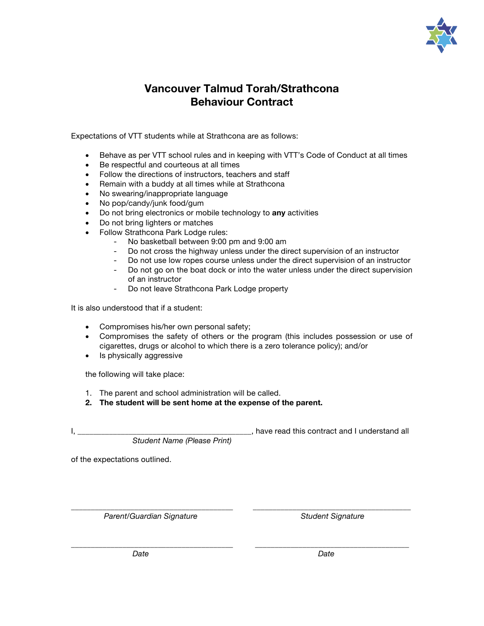

## **Vancouver Talmud Torah/Strathcona Behaviour Contract**

Expectations of VTT students while at Strathcona are as follows:

- Behave as per VTT school rules and in keeping with VTT's Code of Conduct at all times
- Be respectful and courteous at all times
- Follow the directions of instructors, teachers and staff
- Remain with a buddy at all times while at Strathcona
- No swearing/inappropriate language
- No pop/candy/junk food/gum
- Do not bring electronics or mobile technology to **any** activities
- Do not bring lighters or matches
- Follow Strathcona Park Lodge rules:
	- No basketball between 9:00 pm and 9:00 am
	- Do not cross the highway unless under the direct supervision of an instructor
	- Do not use low ropes course unless under the direct supervision of an instructor
	- Do not go on the boat dock or into the water unless under the direct supervision of an instructor
	- Do not leave Strathcona Park Lodge property

It is also understood that if a student:

- Compromises his/her own personal safety;
- Compromises the safety of others or the program (this includes possession or use of cigarettes, drugs or alcohol to which there is a zero tolerance policy); and/or

\_\_\_\_\_\_\_\_\_\_\_\_\_\_\_\_\_\_\_\_\_\_\_\_\_\_\_\_\_\_\_\_\_\_\_\_\_\_\_\_\_ \_\_\_\_\_\_\_\_\_\_\_\_\_\_\_\_\_\_\_\_\_\_\_\_\_\_\_\_\_\_\_\_\_\_\_\_\_\_\_

• Is physically aggressive

the following will take place:

- 1. The parent and school administration will be called.
- **2. The student will be sent home at the expense of the parent.**

I, the contract and I understand all the set of the set of the set of the set of the set of the set of the set o

*Student Name (Please Print)*

of the expectations outlined.

\_\_\_\_\_\_\_\_\_\_\_\_\_\_\_\_\_\_\_\_\_\_\_\_\_\_\_\_\_\_\_\_\_\_\_\_\_\_\_\_\_ \_\_\_\_\_\_\_\_\_\_\_\_\_\_\_\_\_\_\_\_\_\_\_\_\_\_\_\_\_\_\_\_\_\_\_\_\_\_\_\_ Parent/Guardian Signature **Student Signature Student Signature**